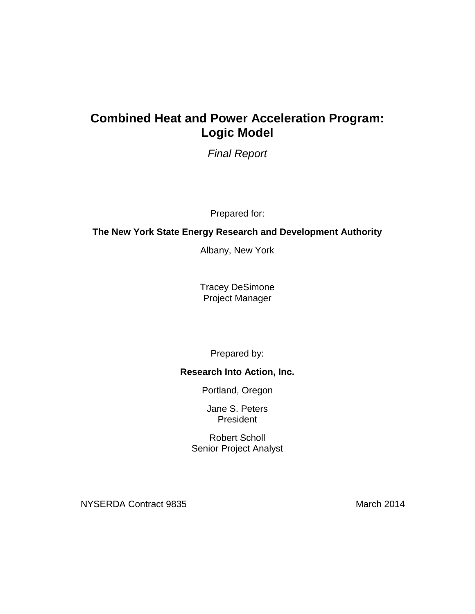# **Combined Heat and Power Acceleration Program: Logic Model**

*Final Report*

Prepared for:

## **The New York State Energy Research and Development Authority**

Albany, New York

Tracey DeSimone Project Manager

Prepared by:

## **Research Into Action, Inc.**

Portland, Oregon

Jane S. Peters President

Robert Scholl Senior Project Analyst

NYSERDA Contract 9835 March 2014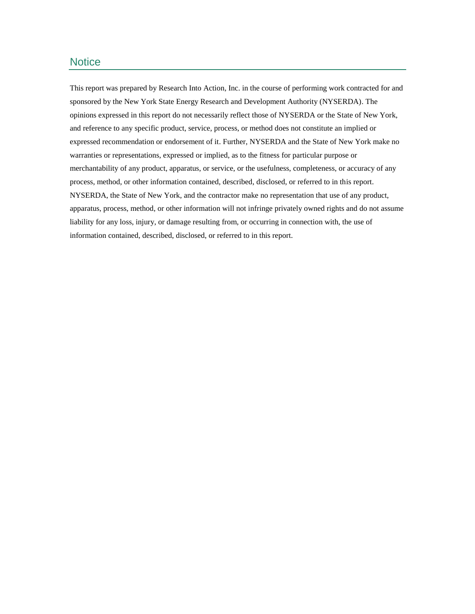#### **Notice**

This report was prepared by Research Into Action, Inc. in the course of performing work contracted for and sponsored by the New York State Energy Research and Development Authority (NYSERDA). The opinions expressed in this report do not necessarily reflect those of NYSERDA or the State of New York, and reference to any specific product, service, process, or method does not constitute an implied or expressed recommendation or endorsement of it. Further, NYSERDA and the State of New York make no warranties or representations, expressed or implied, as to the fitness for particular purpose or merchantability of any product, apparatus, or service, or the usefulness, completeness, or accuracy of any process, method, or other information contained, described, disclosed, or referred to in this report. NYSERDA, the State of New York, and the contractor make no representation that use of any product, apparatus, process, method, or other information will not infringe privately owned rights and do not assume liability for any loss, injury, or damage resulting from, or occurring in connection with, the use of information contained, described, disclosed, or referred to in this report.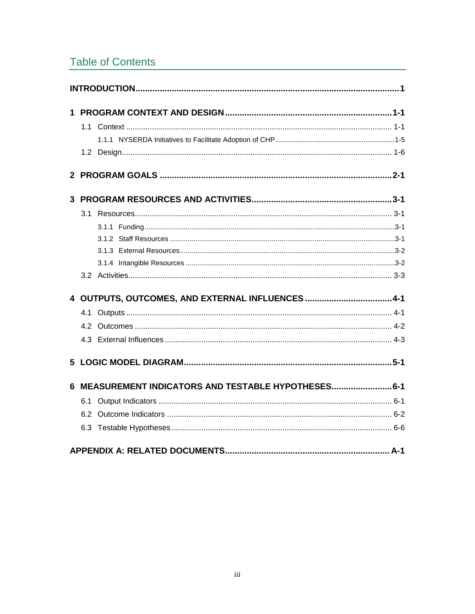# **Table of Contents**

| 3.1 |                                                      |
|-----|------------------------------------------------------|
|     |                                                      |
|     |                                                      |
|     |                                                      |
|     |                                                      |
|     |                                                      |
|     | 4 OUTPUTS, OUTCOMES, AND EXTERNAL INFLUENCES 4-1     |
| 4.1 |                                                      |
|     |                                                      |
|     |                                                      |
|     |                                                      |
|     | 6 MEASUREMENT INDICATORS AND TESTABLE HYPOTHESES 6-1 |
| 6.1 |                                                      |
|     |                                                      |
|     |                                                      |
|     |                                                      |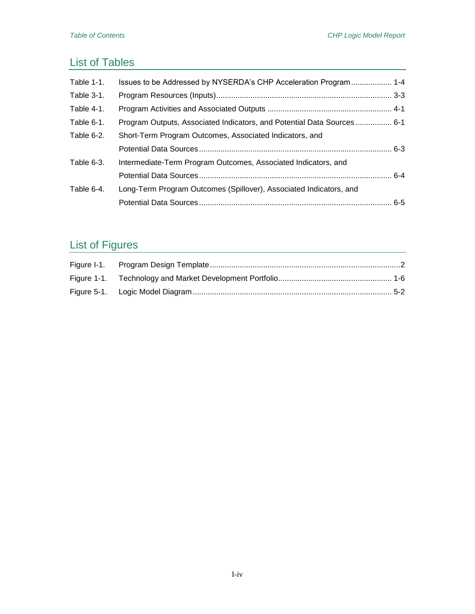# List of Tables

| Table $1-1$ . | Issues to be Addressed by NYSERDA's CHP Acceleration Program 1-4       |  |
|---------------|------------------------------------------------------------------------|--|
| Table 3-1.    |                                                                        |  |
| Table 4-1.    |                                                                        |  |
| Table 6-1.    | Program Outputs, Associated Indicators, and Potential Data Sources 6-1 |  |
| Table 6-2.    | Short-Term Program Outcomes, Associated Indicators, and                |  |
|               |                                                                        |  |
| Table 6-3.    | Intermediate-Term Program Outcomes, Associated Indicators, and         |  |
|               |                                                                        |  |
| Table 6-4.    | Long-Term Program Outcomes (Spillover), Associated Indicators, and     |  |
|               |                                                                        |  |

# List of Figures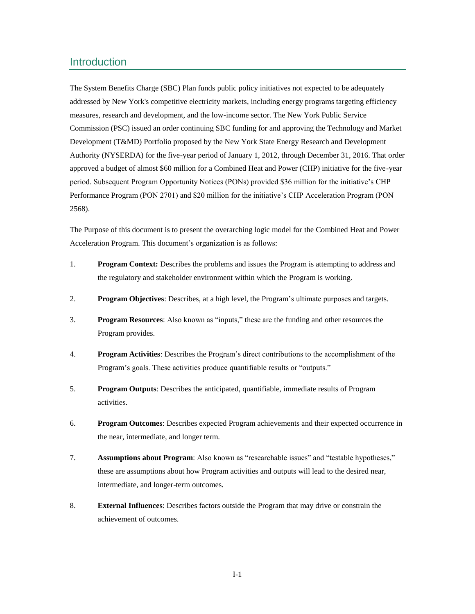## Introduction

The System Benefits Charge (SBC) Plan funds public policy initiatives not expected to be adequately addressed by New York's competitive electricity markets, including energy programs targeting efficiency measures, research and development, and the low-income sector. The New York Public Service Commission (PSC) issued an order continuing SBC funding for and approving the Technology and Market Development (T&MD) Portfolio proposed by the New York State Energy Research and Development Authority (NYSERDA) for the five-year period of January 1, 2012, through December 31, 2016. That order approved a budget of almost \$60 million for a Combined Heat and Power (CHP) initiative for the five-year period. Subsequent Program Opportunity Notices (PONs) provided \$36 million for the initiative's CHP Performance Program (PON 2701) and \$20 million for the initiative's CHP Acceleration Program (PON 2568).

The Purpose of this document is to present the overarching logic model for the Combined Heat and Power Acceleration Program. This document's organization is as follows:

- 1. **Program Context:** Describes the problems and issues the Program is attempting to address and the regulatory and stakeholder environment within which the Program is working.
- 2. **Program Objectives**: Describes, at a high level, the Program's ultimate purposes and targets.
- 3. **Program Resources**: Also known as "inputs," these are the funding and other resources the Program provides.
- 4. **Program Activities**: Describes the Program's direct contributions to the accomplishment of the Program's goals. These activities produce quantifiable results or "outputs."
- 5. **Program Outputs**: Describes the anticipated, quantifiable, immediate results of Program activities.
- 6. **Program Outcomes**: Describes expected Program achievements and their expected occurrence in the near, intermediate, and longer term.
- 7. **Assumptions about Program**: Also known as "researchable issues" and "testable hypotheses," these are assumptions about how Program activities and outputs will lead to the desired near, intermediate, and longer-term outcomes.
- 8. **External Influences**: Describes factors outside the Program that may drive or constrain the achievement of outcomes.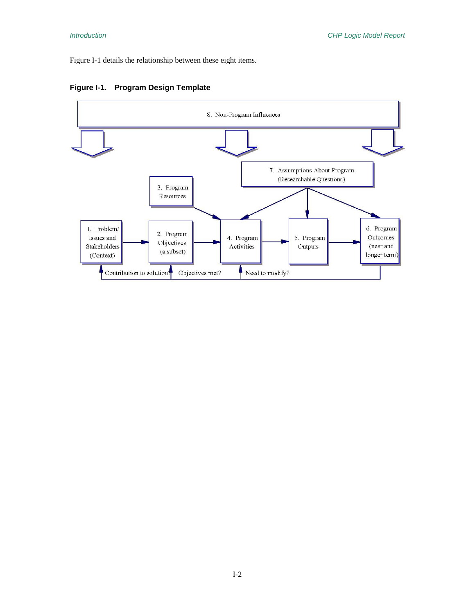Figure I-1 details the relationship between these eight items.



#### **Figure I-1. Program Design Template**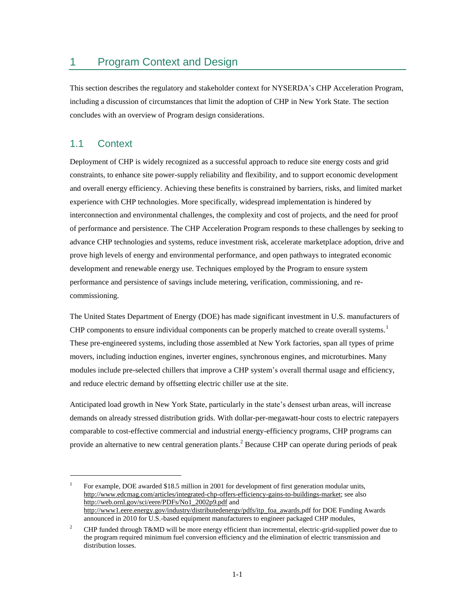## 1 Program Context and Design

This section describes the regulatory and stakeholder context for NYSERDA's CHP Acceleration Program, including a discussion of circumstances that limit the adoption of CHP in New York State. The section concludes with an overview of Program design considerations.

#### 1.1 Context

 $\overline{a}$ 

Deployment of CHP is widely recognized as a successful approach to reduce site energy costs and grid constraints, to enhance site power-supply reliability and flexibility, and to support economic development and overall energy efficiency. Achieving these benefits is constrained by barriers, risks, and limited market experience with CHP technologies. More specifically, widespread implementation is hindered by interconnection and environmental challenges, the complexity and cost of projects, and the need for proof of performance and persistence. The CHP Acceleration Program responds to these challenges by seeking to advance CHP technologies and systems, reduce investment risk, accelerate marketplace adoption, drive and prove high levels of energy and environmental performance, and open pathways to integrated economic development and renewable energy use. Techniques employed by the Program to ensure system performance and persistence of savings include metering, verification, commissioning, and recommissioning.

The United States Department of Energy (DOE) has made significant investment in U.S. manufacturers of CHP components to ensure individual components can be properly matched to create overall systems. $1$ These pre-engineered systems, including those assembled at New York factories, span all types of prime movers, including induction engines, inverter engines, synchronous engines, and microturbines. Many modules include pre-selected chillers that improve a CHP system's overall thermal usage and efficiency, and reduce electric demand by offsetting electric chiller use at the site.

Anticipated load growth in New York State, particularly in the state's densest urban areas, will increase demands on already stressed distribution grids. With dollar-per-megawatt-hour costs to electric ratepayers comparable to cost-effective commercial and industrial energy-efficiency programs, CHP programs can provide an alternative to new central generation plants.<sup>2</sup> Because CHP can operate during periods of peak

<sup>1</sup> For example, DOE awarded \$18.5 million in 2001 for development of first generation modular units, http://www.edcmag.com/articles/integrated-chp-offers-efficiency-gains-to-buildings-market; see also http://web.ornl.gov/sci/eere/PDFs/No1\_2002p9.pdf and http://www1.eere.energy.gov/industry/distributedenergy/pdfs/itp\_foa\_awards.pdf for DOE Funding Awards announced in 2010 for U.S.-based equipment manufacturers to engineer packaged CHP modules,

<sup>&</sup>lt;sup>2</sup> CHP funded through T&MD will be more energy efficient than incremental, electric-grid-supplied power due to the program required minimum fuel conversion efficiency and the elimination of electric transmission and distribution losses.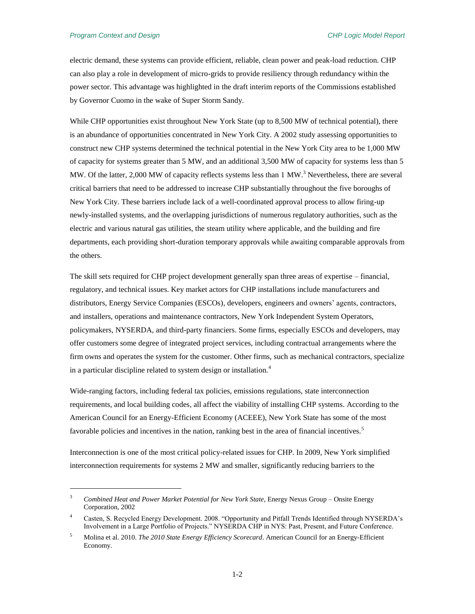$\overline{a}$ 

electric demand, these systems can provide efficient, reliable, clean power and peak-load reduction. CHP can also play a role in development of micro-grids to provide resiliency through redundancy within the power sector. This advantage was highlighted in the draft interim reports of the Commissions established by Governor Cuomo in the wake of Super Storm Sandy.

While CHP opportunities exist throughout New York State (up to 8,500 MW of technical potential), there is an abundance of opportunities concentrated in New York City. A 2002 study assessing opportunities to construct new CHP systems determined the technical potential in the New York City area to be 1,000 MW of capacity for systems greater than 5 MW, and an additional 3,500 MW of capacity for systems less than 5 MW. Of the latter, 2,000 MW of capacity reflects systems less than 1 MW.<sup>3</sup> Nevertheless, there are several critical barriers that need to be addressed to increase CHP substantially throughout the five boroughs of New York City. These barriers include lack of a well-coordinated approval process to allow firing-up newly-installed systems, and the overlapping jurisdictions of numerous regulatory authorities, such as the electric and various natural gas utilities, the steam utility where applicable, and the building and fire departments, each providing short-duration temporary approvals while awaiting comparable approvals from the others.

The skill sets required for CHP project development generally span three areas of expertise – financial, regulatory, and technical issues. Key market actors for CHP installations include manufacturers and distributors, Energy Service Companies (ESCOs), developers, engineers and owners' agents, contractors, and installers, operations and maintenance contractors, New York Independent System Operators, policymakers, NYSERDA, and third-party financiers. Some firms, especially ESCOs and developers, may offer customers some degree of integrated project services, including contractual arrangements where the firm owns and operates the system for the customer. Other firms, such as mechanical contractors, specialize in a particular discipline related to system design or installation.<sup>4</sup>

Wide-ranging factors, including federal tax policies, emissions regulations, state interconnection requirements, and local building codes, all affect the viability of installing CHP systems. According to the American Council for an Energy-Efficient Economy (ACEEE), New York State has some of the most favorable policies and incentives in the nation, ranking best in the area of financial incentives.<sup>5</sup>

Interconnection is one of the most critical policy-related issues for CHP. In 2009, New York simplified interconnection requirements for systems 2 MW and smaller, significantly reducing barriers to the

<sup>&</sup>lt;sup>3</sup> Combined Heat and Power Market Potential for New York State, Energy Nexus Group – Onsite Energy Corporation, 2002

<sup>4</sup> Casten, S. Recycled Energy Development. 2008. "Opportunity and Pitfall Trends Identified through NYSERDA's Involvement in a Large Portfolio of Projects." NYSERDA CHP in NYS: Past, Present, and Future Conference.

<sup>5</sup> Molina et al. 2010. *The 2010 State Energy Efficiency Scorecard*. American Council for an Energy-Efficient Economy.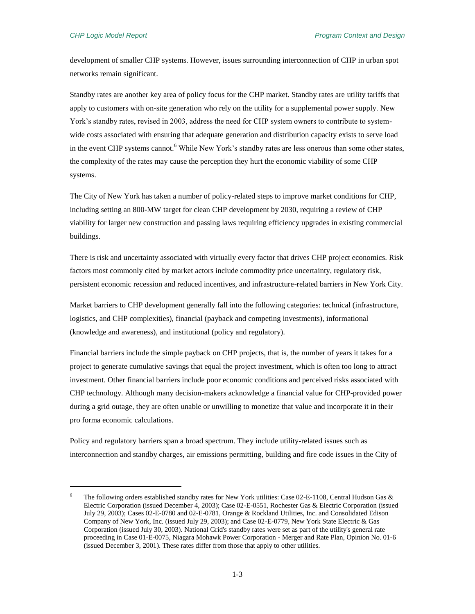$\overline{a}$ 

development of smaller CHP systems. However, issues surrounding interconnection of CHP in urban spot networks remain significant.

Standby rates are another key area of policy focus for the CHP market. Standby rates are utility tariffs that apply to customers with on-site generation who rely on the utility for a supplemental power supply. New York's standby rates, revised in 2003, address the need for CHP system owners to contribute to systemwide costs associated with ensuring that adequate generation and distribution capacity exists to serve load in the event CHP systems cannot.<sup>6</sup> While New York's standby rates are less onerous than some other states, the complexity of the rates may cause the perception they hurt the economic viability of some CHP systems.

The City of New York has taken a number of policy-related steps to improve market conditions for CHP, including setting an 800-MW target for clean CHP development by 2030, requiring a review of CHP viability for larger new construction and passing laws requiring efficiency upgrades in existing commercial buildings.

There is risk and uncertainty associated with virtually every factor that drives CHP project economics. Risk factors most commonly cited by market actors include commodity price uncertainty, regulatory risk, persistent economic recession and reduced incentives, and infrastructure-related barriers in New York City.

Market barriers to CHP development generally fall into the following categories: technical (infrastructure, logistics, and CHP complexities), financial (payback and competing investments), informational (knowledge and awareness), and institutional (policy and regulatory).

Financial barriers include the simple payback on CHP projects, that is, the number of years it takes for a project to generate cumulative savings that equal the project investment, which is often too long to attract investment. Other financial barriers include poor economic conditions and perceived risks associated with CHP technology. Although many decision-makers acknowledge a financial value for CHP-provided power during a grid outage, they are often unable or unwilling to monetize that value and incorporate it in their pro forma economic calculations.

Policy and regulatory barriers span a broad spectrum. They include utility-related issues such as interconnection and standby charges, air emissions permitting, building and fire code issues in the City of

The following orders established standby rates for New York utilities: Case 02-E-1108, Central Hudson Gas & Electric Corporation (issued December 4, 2003); Case 02-E-0551, Rochester Gas & Electric Corporation (issued July 29, 2003); Cases 02-E-0780 and 02-E-0781, Orange & Rockland Utilities, Inc. and Consolidated Edison Company of New York, Inc. (issued July 29, 2003); and Case 02-E-0779, New York State Electric & Gas Corporation (issued July 30, 2003). National Grid's standby rates were set as part of the utility's general rate proceeding in Case 01-E-0075, Niagara Mohawk Power Corporation - Merger and Rate Plan, Opinion No. 01-6 (issued December 3, 2001). These rates differ from those that apply to other utilities.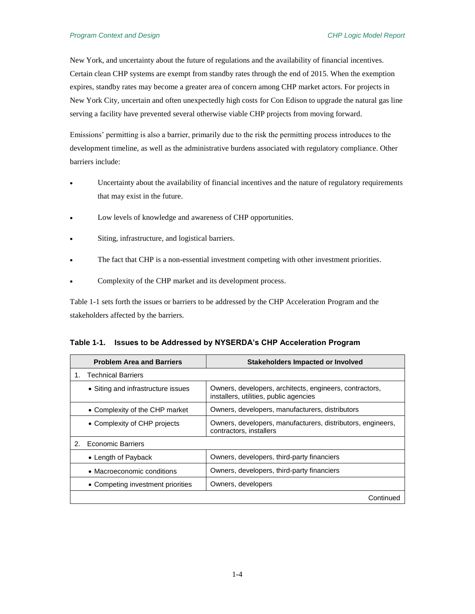New York, and uncertainty about the future of regulations and the availability of financial incentives. Certain clean CHP systems are exempt from standby rates through the end of 2015. When the exemption expires, standby rates may become a greater area of concern among CHP market actors. For projects in New York City, uncertain and often unexpectedly high costs for Con Edison to upgrade the natural gas line serving a facility have prevented several otherwise viable CHP projects from moving forward.

Emissions' permitting is also a barrier, primarily due to the risk the permitting process introduces to the development timeline, as well as the administrative burdens associated with regulatory compliance. Other barriers include:

- Uncertainty about the availability of financial incentives and the nature of regulatory requirements that may exist in the future.
- Low levels of knowledge and awareness of CHP opportunities.
- Siting, infrastructure, and logistical barriers.
- The fact that CHP is a non-essential investment competing with other investment priorities.
- Complexity of the CHP market and its development process.

Table 1-1 sets forth the issues or barriers to be addressed by the CHP Acceleration Program and the stakeholders affected by the barriers.

| Table 1-1. Issues to be Addressed by NYSERDA's CHP Acceleration Program |  |  |
|-------------------------------------------------------------------------|--|--|
|-------------------------------------------------------------------------|--|--|

|    | <b>Problem Area and Barriers</b>   | <b>Stakeholders Impacted or Involved</b>                                                          |
|----|------------------------------------|---------------------------------------------------------------------------------------------------|
|    | <b>Technical Barriers</b>          |                                                                                                   |
|    | • Siting and infrastructure issues | Owners, developers, architects, engineers, contractors,<br>installers, utilities, public agencies |
|    | • Complexity of the CHP market     | Owners, developers, manufacturers, distributors                                                   |
|    | • Complexity of CHP projects       | Owners, developers, manufacturers, distributors, engineers,<br>contractors, installers            |
| 2. | Economic Barriers                  |                                                                                                   |
|    | • Length of Payback                | Owners, developers, third-party financiers                                                        |
|    | • Macroeconomic conditions         | Owners, developers, third-party financiers                                                        |
|    | • Competing investment priorities  | Owners, developers                                                                                |
|    |                                    | Continued                                                                                         |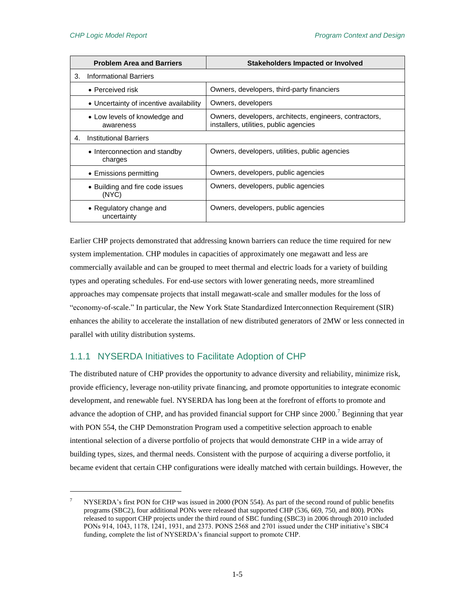$\overline{a}$ 

|                | <b>Problem Area and Barriers</b>           | <b>Stakeholders Impacted or Involved</b>                                                          |
|----------------|--------------------------------------------|---------------------------------------------------------------------------------------------------|
| 3.             | Informational Barriers                     |                                                                                                   |
|                | $\bullet$ Perceived risk                   | Owners, developers, third-party financiers                                                        |
|                | • Uncertainty of incentive availability    | Owners, developers                                                                                |
|                | • Low levels of knowledge and<br>awareness | Owners, developers, architects, engineers, contractors,<br>installers, utilities, public agencies |
| 4 <sub>1</sub> | <b>Institutional Barriers</b>              |                                                                                                   |
|                | • Interconnection and standby<br>charges   | Owners, developers, utilities, public agencies                                                    |
|                | • Emissions permitting                     | Owners, developers, public agencies                                                               |
|                | • Building and fire code issues<br>(NYC)   | Owners, developers, public agencies                                                               |
|                | • Regulatory change and<br>uncertainty     | Owners, developers, public agencies                                                               |

Earlier CHP projects demonstrated that addressing known barriers can reduce the time required for new system implementation. CHP modules in capacities of approximately one megawatt and less are commercially available and can be grouped to meet thermal and electric loads for a variety of building types and operating schedules. For end-use sectors with lower generating needs, more streamlined approaches may compensate projects that install megawatt-scale and smaller modules for the loss of "economy-of-scale." In particular, the New York State Standardized Interconnection Requirement (SIR) enhances the ability to accelerate the installation of new distributed generators of 2MW or less connected in parallel with utility distribution systems.

#### 1.1.1 NYSERDA Initiatives to Facilitate Adoption of CHP

The distributed nature of CHP provides the opportunity to advance diversity and reliability, minimize risk, provide efficiency, leverage non-utility private financing, and promote opportunities to integrate economic development, and renewable fuel. NYSERDA has long been at the forefront of efforts to promote and advance the adoption of CHP, and has provided financial support for CHP since 2000.<sup>7</sup> Beginning that year with PON 554, the CHP Demonstration Program used a competitive selection approach to enable intentional selection of a diverse portfolio of projects that would demonstrate CHP in a wide array of building types, sizes, and thermal needs. Consistent with the purpose of acquiring a diverse portfolio, it became evident that certain CHP configurations were ideally matched with certain buildings. However, the

NYSERDA's first PON for CHP was issued in 2000 (PON 554). As part of the second round of public benefits programs (SBC2), four additional PONs were released that supported CHP (536, 669, 750, and 800). PONs released to support CHP projects under the third round of SBC funding (SBC3) in 2006 through 2010 included PONs 914, 1043, 1178, 1241, 1931, and 2373. PONS 2568 and 2701 issued under the CHP initiative's SBC4 funding, complete the list of NYSERDA's financial support to promote CHP.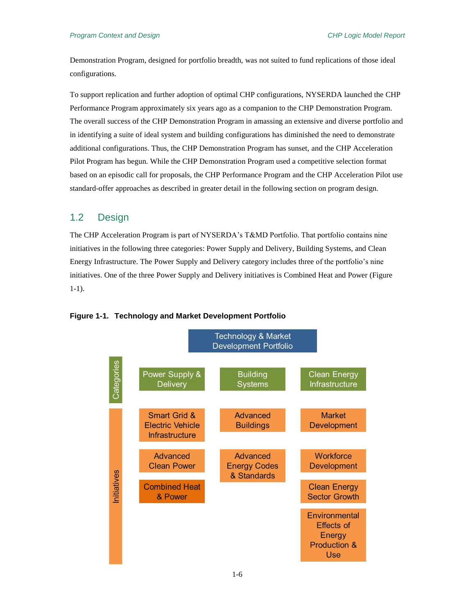Demonstration Program, designed for portfolio breadth, was not suited to fund replications of those ideal configurations.

To support replication and further adoption of optimal CHP configurations, NYSERDA launched the CHP Performance Program approximately six years ago as a companion to the CHP Demonstration Program. The overall success of the CHP Demonstration Program in amassing an extensive and diverse portfolio and in identifying a suite of ideal system and building configurations has diminished the need to demonstrate additional configurations. Thus, the CHP Demonstration Program has sunset, and the CHP Acceleration Pilot Program has begun. While the CHP Demonstration Program used a competitive selection format based on an episodic call for proposals, the CHP Performance Program and the CHP Acceleration Pilot use standard-offer approaches as described in greater detail in the following section on program design.

## 1.2 Design

The CHP Acceleration Program is part of NYSERDA's T&MD Portfolio. That portfolio contains nine initiatives in the following three categories: Power Supply and Delivery, Building Systems, and Clean Energy Infrastructure. The Power Supply and Delivery category includes three of the portfolio's nine initiatives. One of the three Power Supply and Delivery initiatives is Combined Heat and Power (Figure 1-1).



**Figure 1-1. Technology and Market Development Portfolio**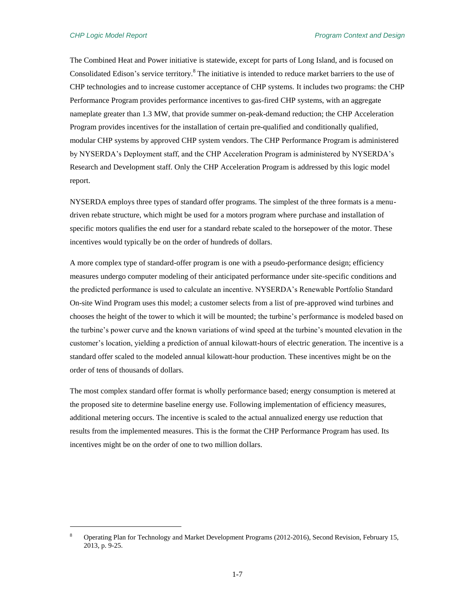$\overline{a}$ 

The Combined Heat and Power initiative is statewide, except for parts of Long Island, and is focused on Consolidated Edison's service territory.<sup>8</sup> The initiative is intended to reduce market barriers to the use of CHP technologies and to increase customer acceptance of CHP systems. It includes two programs: the CHP Performance Program provides performance incentives to gas-fired CHP systems, with an aggregate nameplate greater than 1.3 MW, that provide summer on-peak-demand reduction; the CHP Acceleration Program provides incentives for the installation of certain pre-qualified and conditionally qualified, modular CHP systems by approved CHP system vendors. The CHP Performance Program is administered by NYSERDA's Deployment staff, and the CHP Acceleration Program is administered by NYSERDA's Research and Development staff. Only the CHP Acceleration Program is addressed by this logic model report.

NYSERDA employs three types of standard offer programs. The simplest of the three formats is a menudriven rebate structure, which might be used for a motors program where purchase and installation of specific motors qualifies the end user for a standard rebate scaled to the horsepower of the motor. These incentives would typically be on the order of hundreds of dollars.

A more complex type of standard-offer program is one with a pseudo-performance design; efficiency measures undergo computer modeling of their anticipated performance under site-specific conditions and the predicted performance is used to calculate an incentive. NYSERDA's Renewable Portfolio Standard On-site Wind Program uses this model; a customer selects from a list of pre-approved wind turbines and chooses the height of the tower to which it will be mounted; the turbine's performance is modeled based on the turbine's power curve and the known variations of wind speed at the turbine's mounted elevation in the customer's location, yielding a prediction of annual kilowatt-hours of electric generation. The incentive is a standard offer scaled to the modeled annual kilowatt-hour production. These incentives might be on the order of tens of thousands of dollars.

The most complex standard offer format is wholly performance based; energy consumption is metered at the proposed site to determine baseline energy use. Following implementation of efficiency measures, additional metering occurs. The incentive is scaled to the actual annualized energy use reduction that results from the implemented measures. This is the format the CHP Performance Program has used. Its incentives might be on the order of one to two million dollars.

<sup>8</sup> Operating Plan for Technology and Market Development Programs (2012-2016), Second Revision, February 15, 2013, p. 9-25.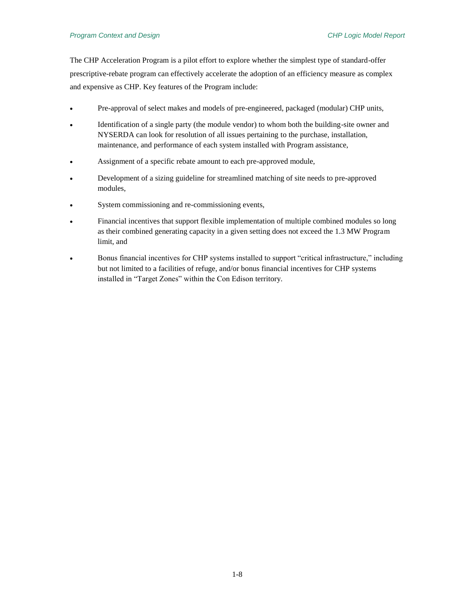The CHP Acceleration Program is a pilot effort to explore whether the simplest type of standard-offer prescriptive-rebate program can effectively accelerate the adoption of an efficiency measure as complex and expensive as CHP. Key features of the Program include:

- Pre-approval of select makes and models of pre-engineered, packaged (modular) CHP units,
- Identification of a single party (the module vendor) to whom both the building-site owner and NYSERDA can look for resolution of all issues pertaining to the purchase, installation, maintenance, and performance of each system installed with Program assistance,
- Assignment of a specific rebate amount to each pre-approved module,
- Development of a sizing guideline for streamlined matching of site needs to pre-approved modules,
- System commissioning and re-commissioning events,
- Financial incentives that support flexible implementation of multiple combined modules so long as their combined generating capacity in a given setting does not exceed the 1.3 MW Program limit, and
- Bonus financial incentives for CHP systems installed to support "critical infrastructure," including but not limited to a facilities of refuge, and/or bonus financial incentives for CHP systems installed in "Target Zones" within the Con Edison territory.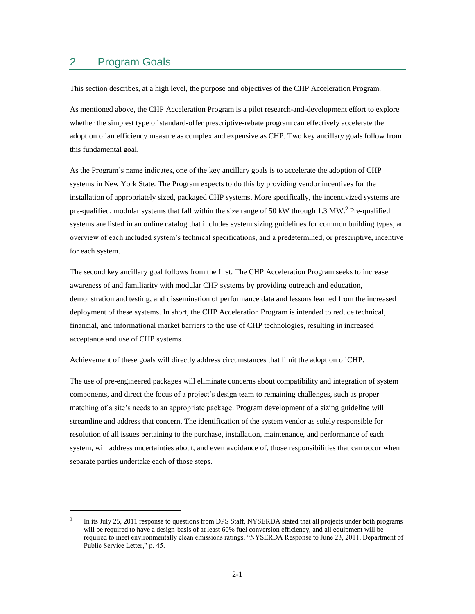## 2 Program Goals

 $\overline{a}$ 

This section describes, at a high level, the purpose and objectives of the CHP Acceleration Program.

As mentioned above, the CHP Acceleration Program is a pilot research-and-development effort to explore whether the simplest type of standard-offer prescriptive-rebate program can effectively accelerate the adoption of an efficiency measure as complex and expensive as CHP. Two key ancillary goals follow from this fundamental goal.

As the Program's name indicates, one of the key ancillary goals is to accelerate the adoption of CHP systems in New York State. The Program expects to do this by providing vendor incentives for the installation of appropriately sized, packaged CHP systems. More specifically, the incentivized systems are pre-qualified, modular systems that fall within the size range of 50 kW through 1.3 MW.<sup>9</sup> Pre-qualified systems are listed in an online catalog that includes system sizing guidelines for common building types, an overview of each included system's technical specifications, and a predetermined, or prescriptive, incentive for each system.

The second key ancillary goal follows from the first. The CHP Acceleration Program seeks to increase awareness of and familiarity with modular CHP systems by providing outreach and education, demonstration and testing, and dissemination of performance data and lessons learned from the increased deployment of these systems. In short, the CHP Acceleration Program is intended to reduce technical, financial, and informational market barriers to the use of CHP technologies, resulting in increased acceptance and use of CHP systems.

Achievement of these goals will directly address circumstances that limit the adoption of CHP.

The use of pre-engineered packages will eliminate concerns about compatibility and integration of system components, and direct the focus of a project's design team to remaining challenges, such as proper matching of a site's needs to an appropriate package. Program development of a sizing guideline will streamline and address that concern. The identification of the system vendor as solely responsible for resolution of all issues pertaining to the purchase, installation, maintenance, and performance of each system, will address uncertainties about, and even avoidance of, those responsibilities that can occur when separate parties undertake each of those steps.

<sup>9</sup> In its July 25, 2011 response to questions from DPS Staff, NYSERDA stated that all projects under both programs will be required to have a design-basis of at least 60% fuel conversion efficiency, and all equipment will be required to meet environmentally clean emissions ratings. "NYSERDA Response to June 23, 2011, Department of Public Service Letter," p. 45.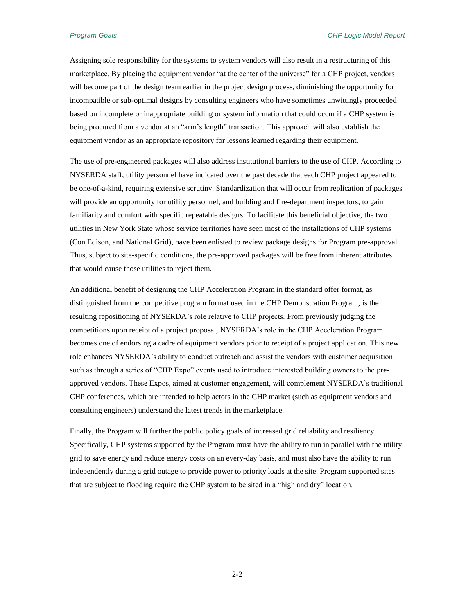Assigning sole responsibility for the systems to system vendors will also result in a restructuring of this marketplace. By placing the equipment vendor "at the center of the universe" for a CHP project, vendors will become part of the design team earlier in the project design process, diminishing the opportunity for incompatible or sub-optimal designs by consulting engineers who have sometimes unwittingly proceeded based on incomplete or inappropriate building or system information that could occur if a CHP system is being procured from a vendor at an "arm's length" transaction. This approach will also establish the equipment vendor as an appropriate repository for lessons learned regarding their equipment.

The use of pre-engineered packages will also address institutional barriers to the use of CHP. According to NYSERDA staff, utility personnel have indicated over the past decade that each CHP project appeared to be one-of-a-kind, requiring extensive scrutiny. Standardization that will occur from replication of packages will provide an opportunity for utility personnel, and building and fire-department inspectors, to gain familiarity and comfort with specific repeatable designs. To facilitate this beneficial objective, the two utilities in New York State whose service territories have seen most of the installations of CHP systems (Con Edison, and National Grid), have been enlisted to review package designs for Program pre-approval. Thus, subject to site-specific conditions, the pre-approved packages will be free from inherent attributes that would cause those utilities to reject them.

An additional benefit of designing the CHP Acceleration Program in the standard offer format, as distinguished from the competitive program format used in the CHP Demonstration Program, is the resulting repositioning of NYSERDA's role relative to CHP projects. From previously judging the competitions upon receipt of a project proposal, NYSERDA's role in the CHP Acceleration Program becomes one of endorsing a cadre of equipment vendors prior to receipt of a project application. This new role enhances NYSERDA's ability to conduct outreach and assist the vendors with customer acquisition, such as through a series of "CHP Expo" events used to introduce interested building owners to the preapproved vendors. These Expos, aimed at customer engagement, will complement NYSERDA's traditional CHP conferences, which are intended to help actors in the CHP market (such as equipment vendors and consulting engineers) understand the latest trends in the marketplace.

Finally, the Program will further the public policy goals of increased grid reliability and resiliency. Specifically, CHP systems supported by the Program must have the ability to run in parallel with the utility grid to save energy and reduce energy costs on an every-day basis, and must also have the ability to run independently during a grid outage to provide power to priority loads at the site. Program supported sites that are subject to flooding require the CHP system to be sited in a "high and dry" location.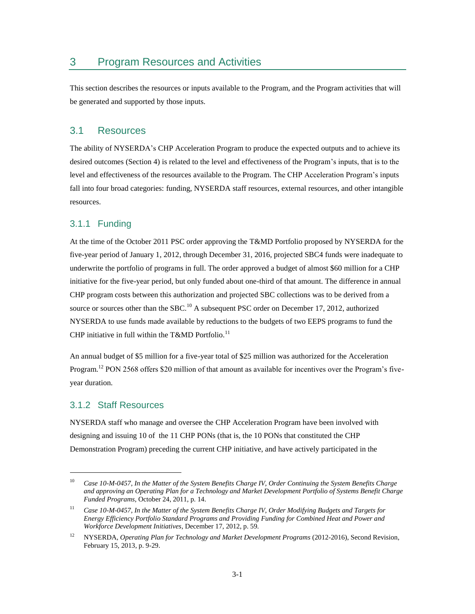This section describes the resources or inputs available to the Program, and the Program activities that will be generated and supported by those inputs.

#### 3.1 Resources

The ability of NYSERDA's CHP Acceleration Program to produce the expected outputs and to achieve its desired outcomes (Section 4) is related to the level and effectiveness of the Program's inputs, that is to the level and effectiveness of the resources available to the Program. The CHP Acceleration Program's inputs fall into four broad categories: funding, NYSERDA staff resources, external resources, and other intangible resources.

#### 3.1.1 Funding

At the time of the October 2011 PSC order approving the T&MD Portfolio proposed by NYSERDA for the five-year period of January 1, 2012, through December 31, 2016, projected SBC4 funds were inadequate to underwrite the portfolio of programs in full. The order approved a budget of almost \$60 million for a CHP initiative for the five-year period, but only funded about one-third of that amount. The difference in annual CHP program costs between this authorization and projected SBC collections was to be derived from a source or sources other than the SBC.<sup>10</sup> A subsequent PSC order on December 17, 2012, authorized NYSERDA to use funds made available by reductions to the budgets of two EEPS programs to fund the CHP initiative in full within the T&MD Portfolio.<sup>11</sup>

An annual budget of \$5 million for a five-year total of \$25 million was authorized for the Acceleration Program.<sup>12</sup> PON 2568 offers \$20 million of that amount as available for incentives over the Program's fiveyear duration.

#### 3.1.2 Staff Resources

 $\overline{a}$ 

NYSERDA staff who manage and oversee the CHP Acceleration Program have been involved with designing and issuing 10 of the 11 CHP PONs (that is, the 10 PONs that constituted the CHP Demonstration Program) preceding the current CHP initiative, and have actively participated in the

<sup>10</sup> *Case 10-M-0457, In the Matter of the System Benefits Charge IV, Order Continuing the System Benefits Charge and approving an Operating Plan for a Technology and Market Development Portfolio of Systems Benefit Charge Funded Programs*, October 24, 2011, p. 14.

<sup>11</sup> *Case 10-M-0457, In the Matter of the System Benefits Charge IV, Order Modifying Budgets and Targets for Energy Efficiency Portfolio Standard Programs and Providing Funding for Combined Heat and Power and Workforce Development Initiatives*, December 17, 2012, p. 59.

<sup>12</sup> NYSERDA, *Operating Plan for Technology and Market Development Programs* (2012-2016), Second Revision, February 15, 2013, p. 9-29.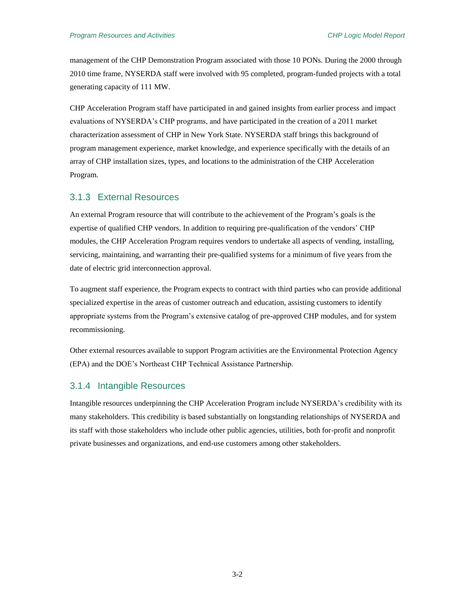management of the CHP Demonstration Program associated with those 10 PONs. During the 2000 through 2010 time frame, NYSERDA staff were involved with 95 completed, program-funded projects with a total generating capacity of 111 MW.

CHP Acceleration Program staff have participated in and gained insights from earlier process and impact evaluations of NYSERDA's CHP programs, and have participated in the creation of a 2011 market characterization assessment of CHP in New York State. NYSERDA staff brings this background of program management experience, market knowledge, and experience specifically with the details of an array of CHP installation sizes, types, and locations to the administration of the CHP Acceleration Program.

#### 3.1.3 External Resources

An external Program resource that will contribute to the achievement of the Program's goals is the expertise of qualified CHP vendors. In addition to requiring pre-qualification of the vendors' CHP modules, the CHP Acceleration Program requires vendors to undertake all aspects of vending, installing, servicing, maintaining, and warranting their pre-qualified systems for a minimum of five years from the date of electric grid interconnection approval.

To augment staff experience, the Program expects to contract with third parties who can provide additional specialized expertise in the areas of customer outreach and education, assisting customers to identify appropriate systems from the Program's extensive catalog of pre-approved CHP modules, and for system recommissioning.

Other external resources available to support Program activities are the Environmental Protection Agency (EPA) and the DOE's Northeast CHP Technical Assistance Partnership.

#### 3.1.4 Intangible Resources

Intangible resources underpinning the CHP Acceleration Program include NYSERDA's credibility with its many stakeholders. This credibility is based substantially on longstanding relationships of NYSERDA and its staff with those stakeholders who include other public agencies, utilities, both for-profit and nonprofit private businesses and organizations, and end-use customers among other stakeholders.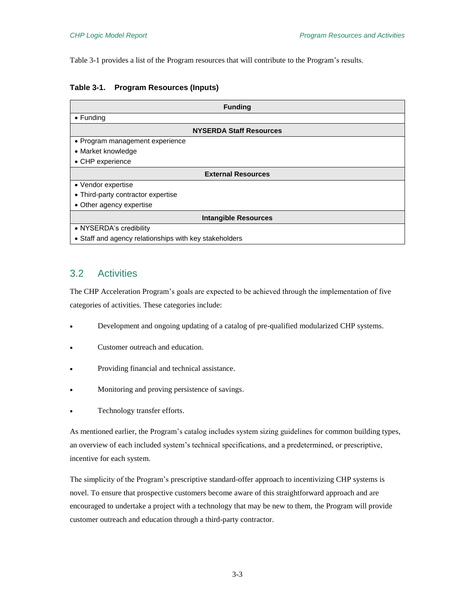Table 3-1 provides a list of the Program resources that will contribute to the Program's results.

| Table 3-1. |  | <b>Program Resources (Inputs)</b> |  |
|------------|--|-----------------------------------|--|
|------------|--|-----------------------------------|--|

| <b>Funding</b>                                         |  |  |
|--------------------------------------------------------|--|--|
| $\bullet$ Funding                                      |  |  |
| <b>NYSERDA Staff Resources</b>                         |  |  |
| • Program management experience                        |  |  |
| • Market knowledge                                     |  |  |
| • CHP experience                                       |  |  |
| <b>External Resources</b>                              |  |  |
| • Vendor expertise                                     |  |  |
| • Third-party contractor expertise                     |  |  |
| • Other agency expertise                               |  |  |
| <b>Intangible Resources</b>                            |  |  |
| • NYSERDA's credibility                                |  |  |
| • Staff and agency relationships with key stakeholders |  |  |

## 3.2 Activities

The CHP Acceleration Program's goals are expected to be achieved through the implementation of five categories of activities. These categories include:

- Development and ongoing updating of a catalog of pre-qualified modularized CHP systems.
- Customer outreach and education.
- Providing financial and technical assistance.
- Monitoring and proving persistence of savings.
- Technology transfer efforts.

As mentioned earlier, the Program's catalog includes system sizing guidelines for common building types, an overview of each included system's technical specifications, and a predetermined, or prescriptive, incentive for each system.

The simplicity of the Program's prescriptive standard-offer approach to incentivizing CHP systems is novel. To ensure that prospective customers become aware of this straightforward approach and are encouraged to undertake a project with a technology that may be new to them, the Program will provide customer outreach and education through a third-party contractor.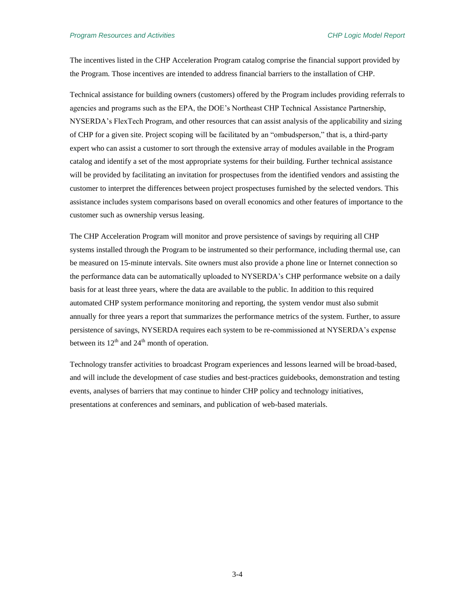#### *Program Resources and Activities CHP Logic Model Report*

The incentives listed in the CHP Acceleration Program catalog comprise the financial support provided by the Program. Those incentives are intended to address financial barriers to the installation of CHP.

Technical assistance for building owners (customers) offered by the Program includes providing referrals to agencies and programs such as the EPA, the DOE's Northeast CHP Technical Assistance Partnership, NYSERDA's FlexTech Program, and other resources that can assist analysis of the applicability and sizing of CHP for a given site. Project scoping will be facilitated by an "ombudsperson," that is, a third-party expert who can assist a customer to sort through the extensive array of modules available in the Program catalog and identify a set of the most appropriate systems for their building. Further technical assistance will be provided by facilitating an invitation for prospectuses from the identified vendors and assisting the customer to interpret the differences between project prospectuses furnished by the selected vendors. This assistance includes system comparisons based on overall economics and other features of importance to the customer such as ownership versus leasing.

The CHP Acceleration Program will monitor and prove persistence of savings by requiring all CHP systems installed through the Program to be instrumented so their performance, including thermal use, can be measured on 15-minute intervals. Site owners must also provide a phone line or Internet connection so the performance data can be automatically uploaded to NYSERDA's CHP performance website on a daily basis for at least three years, where the data are available to the public. In addition to this required automated CHP system performance monitoring and reporting, the system vendor must also submit annually for three years a report that summarizes the performance metrics of the system. Further, to assure persistence of savings, NYSERDA requires each system to be re-commissioned at NYSERDA's expense between its  $12<sup>th</sup>$  and  $24<sup>th</sup>$  month of operation.

Technology transfer activities to broadcast Program experiences and lessons learned will be broad-based, and will include the development of case studies and best-practices guidebooks, demonstration and testing events, analyses of barriers that may continue to hinder CHP policy and technology initiatives, presentations at conferences and seminars, and publication of web-based materials.

3-4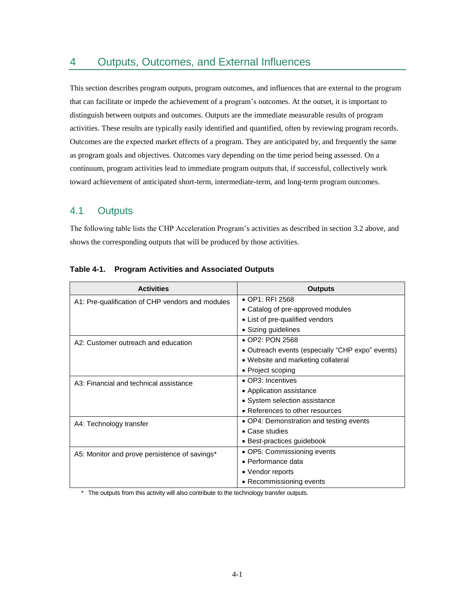## 4 Outputs, Outcomes, and External Influences

This section describes program outputs, program outcomes, and influences that are external to the program that can facilitate or impede the achievement of a program's outcomes. At the outset, it is important to distinguish between outputs and outcomes. Outputs are the immediate measurable results of program activities. These results are typically easily identified and quantified, often by reviewing program records. Outcomes are the expected market effects of a program. They are anticipated by, and frequently the same as program goals and objectives. Outcomes vary depending on the time period being assessed. On a continuum, program activities lead to immediate program outputs that, if successful, collectively work toward achievement of anticipated short-term, intermediate-term, and long-term program outcomes.

## 4.1 Outputs

The following table lists the CHP Acceleration Program's activities as described in section 3.2 above, and shows the corresponding outputs that will be produced by those activities.

| <b>Activities</b>                                | <b>Outputs</b>                                   |  |
|--------------------------------------------------|--------------------------------------------------|--|
| A1: Pre-qualification of CHP vendors and modules | • OP1: RFI 2568                                  |  |
|                                                  | • Catalog of pre-approved modules                |  |
|                                                  | • List of pre-qualified vendors                  |  |
|                                                  | • Sizing guidelines                              |  |
| A2: Customer outreach and education              | • OP2: PON 2568                                  |  |
|                                                  | • Outreach events (especially "CHP expo" events) |  |
|                                                  | • Website and marketing collateral               |  |
|                                                  | • Project scoping                                |  |
| A3: Financial and technical assistance           | • OP3: Incentives                                |  |
|                                                  | • Application assistance                         |  |
|                                                  | • System selection assistance                    |  |
|                                                  | • References to other resources                  |  |
| A4: Technology transfer                          | • OP4: Demonstration and testing events          |  |
|                                                  | $\bullet$ Case studies                           |  |
|                                                  | • Best-practices guidebook                       |  |
| A5: Monitor and prove persistence of savings*    | • OP5: Commissioning events                      |  |
|                                                  | $\bullet$ Performance data                       |  |
|                                                  | • Vendor reports                                 |  |
|                                                  | • Recommissioning events                         |  |

#### **Table 4-1. Program Activities and Associated Outputs**

\* The outputs from this activity will also contribute to the technology transfer outputs.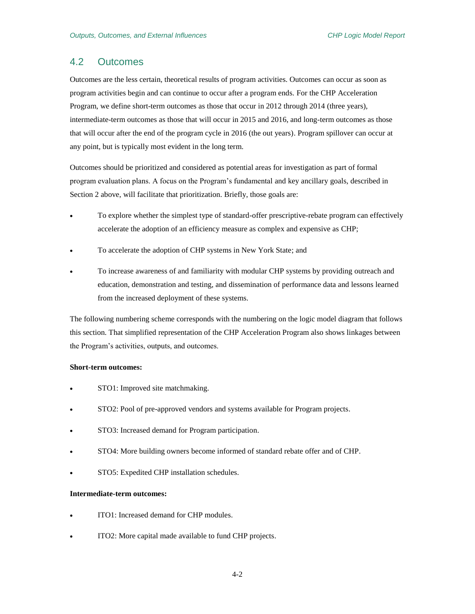## 4.2 Outcomes

Outcomes are the less certain, theoretical results of program activities. Outcomes can occur as soon as program activities begin and can continue to occur after a program ends. For the CHP Acceleration Program, we define short-term outcomes as those that occur in 2012 through 2014 (three years), intermediate-term outcomes as those that will occur in 2015 and 2016, and long-term outcomes as those that will occur after the end of the program cycle in 2016 (the out years). Program spillover can occur at any point, but is typically most evident in the long term.

Outcomes should be prioritized and considered as potential areas for investigation as part of formal program evaluation plans. A focus on the Program's fundamental and key ancillary goals, described in Section 2 above, will facilitate that prioritization. Briefly, those goals are:

- To explore whether the simplest type of standard-offer prescriptive-rebate program can effectively accelerate the adoption of an efficiency measure as complex and expensive as CHP;
- To accelerate the adoption of CHP systems in New York State; and
- To increase awareness of and familiarity with modular CHP systems by providing outreach and education, demonstration and testing, and dissemination of performance data and lessons learned from the increased deployment of these systems.

The following numbering scheme corresponds with the numbering on the logic model diagram that follows this section. That simplified representation of the CHP Acceleration Program also shows linkages between the Program's activities, outputs, and outcomes.

#### **Short-term outcomes:**

- STO1: Improved site matchmaking.
- STO2: Pool of pre-approved vendors and systems available for Program projects.
- STO3: Increased demand for Program participation.
- STO4: More building owners become informed of standard rebate offer and of CHP.
- STO5: Expedited CHP installation schedules.

#### **Intermediate-term outcomes:**

- ITO1: Increased demand for CHP modules.
- ITO2: More capital made available to fund CHP projects.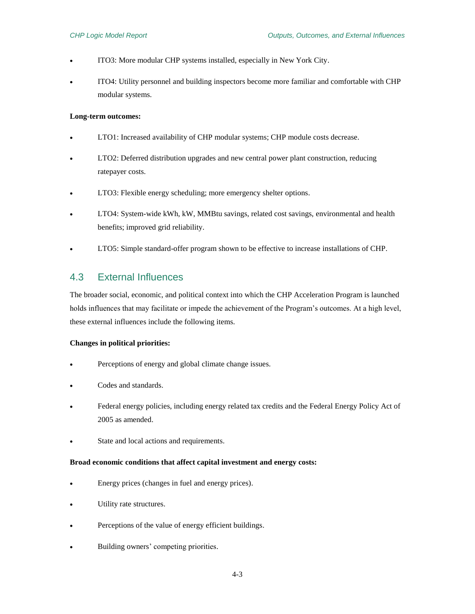- ITO3: More modular CHP systems installed, especially in New York City.
- ITO4: Utility personnel and building inspectors become more familiar and comfortable with CHP modular systems.

#### **Long-term outcomes:**

- LTO1: Increased availability of CHP modular systems; CHP module costs decrease.
- LTO2: Deferred distribution upgrades and new central power plant construction, reducing ratepayer costs.
- LTO3: Flexible energy scheduling; more emergency shelter options.
- LTO4: System-wide kWh, kW, MMBtu savings, related cost savings, environmental and health benefits; improved grid reliability.
- LTO5: Simple standard-offer program shown to be effective to increase installations of CHP.

## 4.3 External Influences

The broader social, economic, and political context into which the CHP Acceleration Program is launched holds influences that may facilitate or impede the achievement of the Program's outcomes. At a high level, these external influences include the following items.

#### **Changes in political priorities:**

- Perceptions of energy and global climate change issues.
- Codes and standards.
- Federal energy policies, including energy related tax credits and the Federal Energy Policy Act of 2005 as amended.
- State and local actions and requirements.

#### **Broad economic conditions that affect capital investment and energy costs:**

- Energy prices (changes in fuel and energy prices).
- Utility rate structures.
- Perceptions of the value of energy efficient buildings.
- Building owners' competing priorities.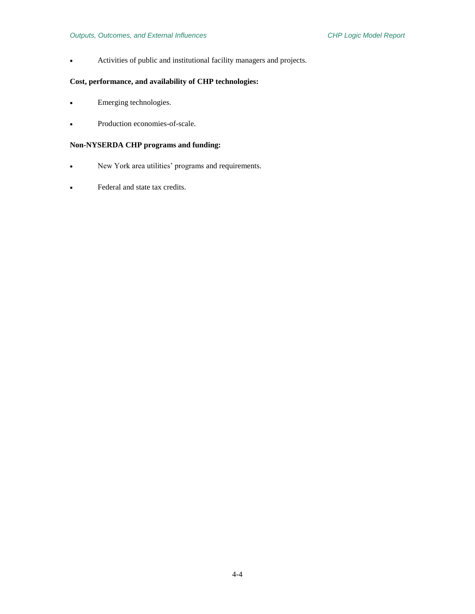Activities of public and institutional facility managers and projects.

#### **Cost, performance, and availability of CHP technologies:**

- Emerging technologies.
- Production economies-of-scale.

#### **Non-NYSERDA CHP programs and funding:**

- New York area utilities' programs and requirements.
- Federal and state tax credits.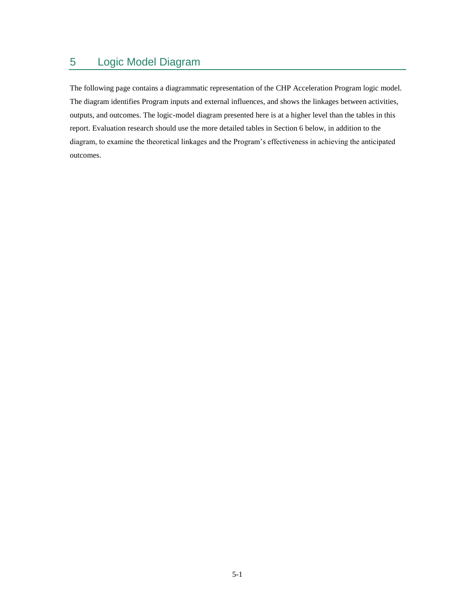# 5 Logic Model Diagram

The following page contains a diagrammatic representation of the CHP Acceleration Program logic model. The diagram identifies Program inputs and external influences, and shows the linkages between activities, outputs, and outcomes. The logic-model diagram presented here is at a higher level than the tables in this report. Evaluation research should use the more detailed tables in Section 6 below, in addition to the diagram, to examine the theoretical linkages and the Program's effectiveness in achieving the anticipated outcomes.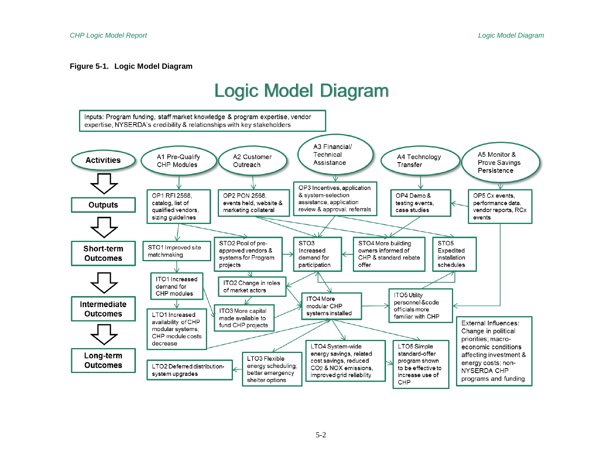#### **Figure 5-1. Logic Model Diagram**

# **Logic Model Diagram**

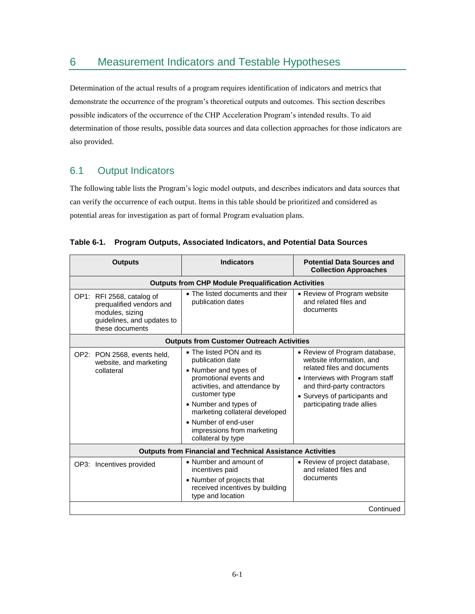## 6 Measurement Indicators and Testable Hypotheses

Determination of the actual results of a program requires identification of indicators and metrics that demonstrate the occurrence of the program's theoretical outputs and outcomes. This section describes possible indicators of the occurrence of the CHP Acceleration Program's intended results. To aid determination of those results, possible data sources and data collection approaches for those indicators are also provided.

## 6.1 Output Indicators

The following table lists the Program's logic model outputs, and describes indicators and data sources that can verify the occurrence of each output. Items in this table should be prioritized and considered as potential areas for investigation as part of formal Program evaluation plans.

| <b>Outputs</b>                                                                                                            | <b>Indicators</b>                                                                                                                                                                                                                                                                        | <b>Potential Data Sources and</b><br><b>Collection Approaches</b>                                                                                                                                                         |  |  |
|---------------------------------------------------------------------------------------------------------------------------|------------------------------------------------------------------------------------------------------------------------------------------------------------------------------------------------------------------------------------------------------------------------------------------|---------------------------------------------------------------------------------------------------------------------------------------------------------------------------------------------------------------------------|--|--|
|                                                                                                                           | <b>Outputs from CHP Module Prequalification Activities</b>                                                                                                                                                                                                                               |                                                                                                                                                                                                                           |  |  |
| OP1: RFI 2568, catalog of<br>prequalified vendors and<br>modules, sizing<br>guidelines, and updates to<br>these documents | • The listed documents and their<br>publication dates                                                                                                                                                                                                                                    | • Review of Program website<br>and related files and<br>documents                                                                                                                                                         |  |  |
|                                                                                                                           | <b>Outputs from Customer Outreach Activities</b>                                                                                                                                                                                                                                         |                                                                                                                                                                                                                           |  |  |
| OP2: PON 2568, events held,<br>website, and marketing<br>collateral                                                       | • The listed PON and its<br>publication date<br>• Number and types of<br>promotional events and<br>activities, and attendance by<br>customer type<br>• Number and types of<br>marketing collateral developed<br>• Number of end-user<br>impressions from marketing<br>collateral by type | • Review of Program database,<br>website information, and<br>related files and documents<br>• Interviews with Program staff<br>and third-party contractors<br>• Surveys of participants and<br>participating trade allies |  |  |
| <b>Outputs from Financial and Technical Assistance Activities</b>                                                         |                                                                                                                                                                                                                                                                                          |                                                                                                                                                                                                                           |  |  |
| OP3: Incentives provided                                                                                                  | • Number and amount of<br>incentives paid<br>• Number of projects that<br>received incentives by building<br>type and location                                                                                                                                                           | • Review of project database,<br>and related files and<br>documents                                                                                                                                                       |  |  |
| Continued                                                                                                                 |                                                                                                                                                                                                                                                                                          |                                                                                                                                                                                                                           |  |  |

|  |  |  | Table 6-1. Program Outputs, Associated Indicators, and Potential Data Sources |
|--|--|--|-------------------------------------------------------------------------------|
|--|--|--|-------------------------------------------------------------------------------|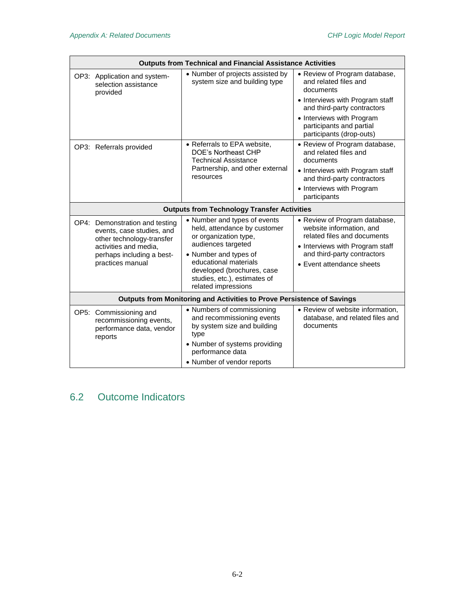| <b>Outputs from Technical and Financial Assistance Activities</b>             |                                                                                                                   |                                                                                                             |                                                                                                                             |  |
|-------------------------------------------------------------------------------|-------------------------------------------------------------------------------------------------------------------|-------------------------------------------------------------------------------------------------------------|-----------------------------------------------------------------------------------------------------------------------------|--|
|                                                                               | OP3: Application and system-<br>selection assistance<br>provided                                                  | • Number of projects assisted by<br>system size and building type                                           | • Review of Program database,<br>and related files and<br>documents                                                         |  |
|                                                                               |                                                                                                                   |                                                                                                             | • Interviews with Program staff<br>and third-party contractors                                                              |  |
|                                                                               |                                                                                                                   |                                                                                                             | • Interviews with Program<br>participants and partial<br>participants (drop-outs)                                           |  |
|                                                                               | OP3: Referrals provided                                                                                           | • Referrals to EPA website,<br>DOE's Northeast CHP<br><b>Technical Assistance</b>                           | • Review of Program database,<br>and related files and<br>documents                                                         |  |
|                                                                               |                                                                                                                   | Partnership, and other external<br>resources                                                                | • Interviews with Program staff<br>and third-party contractors                                                              |  |
|                                                                               |                                                                                                                   |                                                                                                             | • Interviews with Program<br>participants                                                                                   |  |
|                                                                               |                                                                                                                   | <b>Outputs from Technology Transfer Activities</b>                                                          |                                                                                                                             |  |
|                                                                               | OP4: Demonstration and testing<br>events, case studies, and<br>other technology-transfer<br>activities and media, | • Number and types of events<br>held, attendance by customer<br>or organization type,<br>audiences targeted | • Review of Program database,<br>website information, and<br>related files and documents<br>• Interviews with Program staff |  |
|                                                                               | perhaps including a best-<br>practices manual                                                                     | • Number and types of<br>educational materials                                                              | and third-party contractors                                                                                                 |  |
|                                                                               |                                                                                                                   | developed (brochures, case<br>studies, etc.), estimates of<br>related impressions                           | • Event attendance sheets                                                                                                   |  |
| <b>Outputs from Monitoring and Activities to Prove Persistence of Savings</b> |                                                                                                                   |                                                                                                             |                                                                                                                             |  |
|                                                                               | OP5: Commissioning and<br>recommissioning events,<br>performance data, vendor<br>reports                          | • Numbers of commissioning<br>and recommissioning events<br>by system size and building<br>type             | • Review of website information,<br>database, and related files and<br>documents                                            |  |
|                                                                               |                                                                                                                   | • Number of systems providing<br>performance data                                                           |                                                                                                                             |  |
|                                                                               |                                                                                                                   | • Number of vendor reports                                                                                  |                                                                                                                             |  |

# 6.2 Outcome Indicators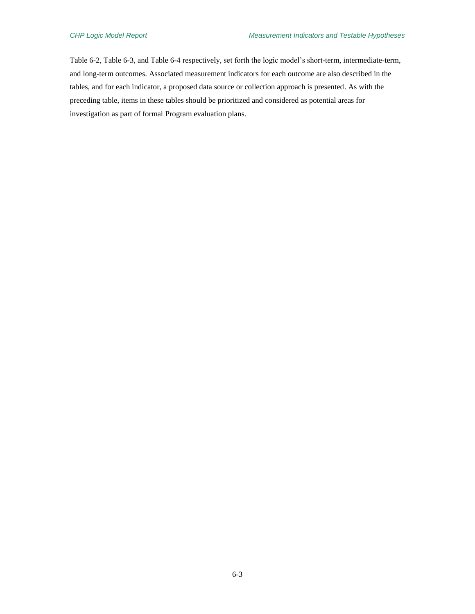Table 6-2, Table 6-3, and Table 6-4 respectively, set forth the logic model's short-term, intermediate-term, and long-term outcomes. Associated measurement indicators for each outcome are also described in the tables, and for each indicator, a proposed data source or collection approach is presented. As with the preceding table, items in these tables should be prioritized and considered as potential areas for investigation as part of formal Program evaluation plans.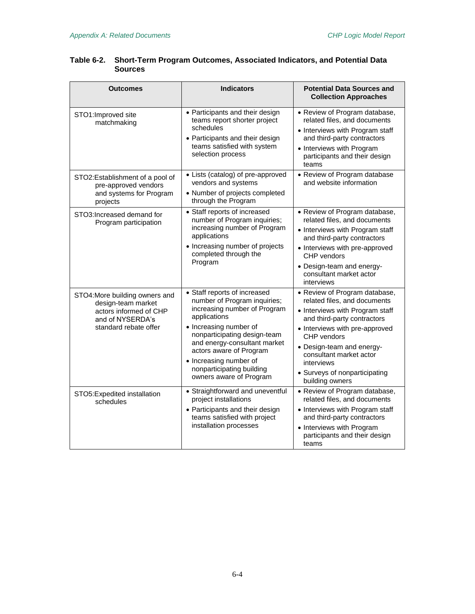| <b>Outcomes</b>                                                                                                             | <b>Indicators</b>                                                                                                                                                                                                                                                                                                   | <b>Potential Data Sources and</b><br><b>Collection Approaches</b>                                                                                                                                                                                                                                          |
|-----------------------------------------------------------------------------------------------------------------------------|---------------------------------------------------------------------------------------------------------------------------------------------------------------------------------------------------------------------------------------------------------------------------------------------------------------------|------------------------------------------------------------------------------------------------------------------------------------------------------------------------------------------------------------------------------------------------------------------------------------------------------------|
| STO1: Improved site<br>matchmaking                                                                                          | • Participants and their design<br>teams report shorter project<br>schedules<br>• Participants and their design<br>teams satisfied with system<br>selection process                                                                                                                                                 | • Review of Program database,<br>related files, and documents<br>• Interviews with Program staff<br>and third-party contractors<br>• Interviews with Program<br>participants and their design<br>teams                                                                                                     |
| STO2:Establishment of a pool of<br>pre-approved vendors<br>and systems for Program<br>projects                              | • Lists (catalog) of pre-approved<br>vendors and systems<br>• Number of projects completed<br>through the Program                                                                                                                                                                                                   | • Review of Program database<br>and website information                                                                                                                                                                                                                                                    |
| STO3: Increased demand for<br>Program participation                                                                         | • Staff reports of increased<br>number of Program inquiries;<br>increasing number of Program<br>applications<br>• Increasing number of projects<br>completed through the<br>Program                                                                                                                                 | • Review of Program database,<br>related files, and documents<br>• Interviews with Program staff<br>and third-party contractors<br>• Interviews with pre-approved<br>CHP vendors<br>• Design-team and energy-<br>consultant market actor<br>interviews                                                     |
| STO4: More building owners and<br>design-team market<br>actors informed of CHP<br>and of NYSERDA's<br>standard rebate offer | • Staff reports of increased<br>number of Program inquiries;<br>increasing number of Program<br>applications<br>• Increasing number of<br>nonparticipating design-team<br>and energy-consultant market<br>actors aware of Program<br>• Increasing number of<br>nonparticipating building<br>owners aware of Program | • Review of Program database,<br>related files, and documents<br>• Interviews with Program staff<br>and third-party contractors<br>• Interviews with pre-approved<br>CHP vendors<br>• Design-team and energy-<br>consultant market actor<br>interviews<br>• Surveys of nonparticipating<br>building owners |
| STO5:Expedited installation<br>schedules                                                                                    | • Straightforward and uneventful<br>project installations<br>• Participants and their design<br>teams satisfied with project<br>installation processes                                                                                                                                                              | • Review of Program database,<br>related files, and documents<br>• Interviews with Program staff<br>and third-party contractors<br>• Interviews with Program<br>participants and their design<br>teams                                                                                                     |

#### **Table 6-2. Short-Term Program Outcomes, Associated Indicators, and Potential Data Sources**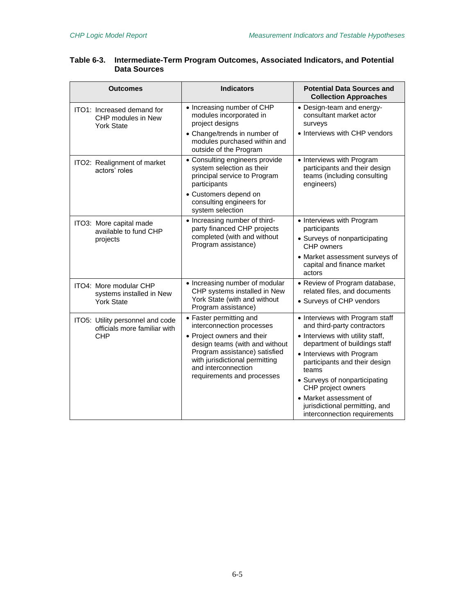| <b>Outcomes</b>                                                                | <b>Indicators</b>                                                                                                                                                                    | <b>Potential Data Sources and</b><br><b>Collection Approaches</b>                                       |
|--------------------------------------------------------------------------------|--------------------------------------------------------------------------------------------------------------------------------------------------------------------------------------|---------------------------------------------------------------------------------------------------------|
| ITO1: Increased demand for<br>CHP modules in New<br><b>York State</b>          | • Increasing number of CHP<br>modules incorporated in<br>project designs<br>• Change/trends in number of                                                                             | • Design-team and energy-<br>consultant market actor<br>surveys<br>• Interviews with CHP vendors        |
|                                                                                | modules purchased within and<br>outside of the Program                                                                                                                               |                                                                                                         |
| ITO2: Realignment of market<br>actors' roles                                   | • Consulting engineers provide<br>system selection as their<br>principal service to Program<br>participants                                                                          | • Interviews with Program<br>participants and their design<br>teams (including consulting<br>engineers) |
|                                                                                | • Customers depend on<br>consulting engineers for<br>system selection                                                                                                                |                                                                                                         |
| ITO3: More capital made<br>available to fund CHP<br>projects                   | • Increasing number of third-<br>party financed CHP projects<br>completed (with and without<br>Program assistance)                                                                   | • Interviews with Program<br>participants                                                               |
|                                                                                |                                                                                                                                                                                      | • Surveys of nonparticipating<br>CHP owners                                                             |
|                                                                                |                                                                                                                                                                                      | • Market assessment surveys of<br>capital and finance market<br>actors                                  |
| ITO4: More modular CHP<br>systems installed in New<br><b>York State</b>        | • Increasing number of modular<br>CHP systems installed in New                                                                                                                       | • Review of Program database,<br>related files, and documents                                           |
|                                                                                | York State (with and without<br>Program assistance)                                                                                                                                  | • Surveys of CHP vendors                                                                                |
| ITO5: Utility personnel and code<br>officials more familiar with<br><b>CHP</b> | • Faster permitting and<br>interconnection processes                                                                                                                                 | • Interviews with Program staff<br>and third-party contractors                                          |
|                                                                                | • Project owners and their<br>design teams (with and without<br>Program assistance) satisfied<br>with jurisdictional permitting<br>and interconnection<br>requirements and processes | • Interviews with utility staff,<br>department of buildings staff<br>• Interviews with Program          |
|                                                                                |                                                                                                                                                                                      | participants and their design<br>teams                                                                  |
|                                                                                |                                                                                                                                                                                      | • Surveys of nonparticipating<br>CHP project owners                                                     |
|                                                                                |                                                                                                                                                                                      | • Market assessment of<br>jurisdictional permitting, and<br>interconnection requirements                |

#### **Table 6-3. Intermediate-Term Program Outcomes, Associated Indicators, and Potential Data Sources**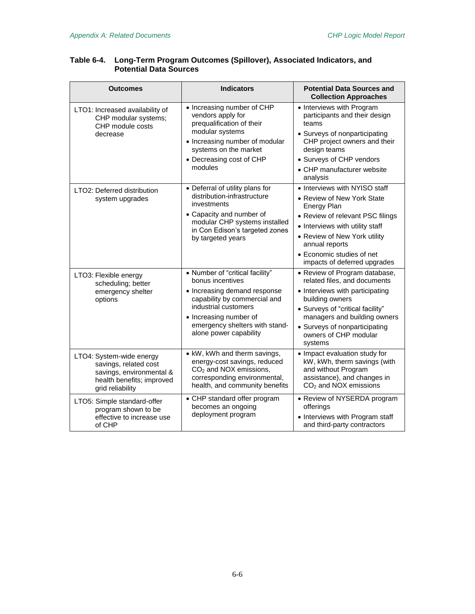| <b>Outcomes</b>                                                                                                                | <b>Indicators</b>                                                                                                                                                                                                                 | <b>Potential Data Sources and</b><br><b>Collection Approaches</b>                                                                                                                                                                                                       |
|--------------------------------------------------------------------------------------------------------------------------------|-----------------------------------------------------------------------------------------------------------------------------------------------------------------------------------------------------------------------------------|-------------------------------------------------------------------------------------------------------------------------------------------------------------------------------------------------------------------------------------------------------------------------|
| LTO1: Increased availability of<br>CHP modular systems;<br>CHP module costs<br>decrease                                        | • Increasing number of CHP<br>vendors apply for<br>prequalification of their<br>modular systems<br>• Increasing number of modular<br>systems on the market<br>• Decreasing cost of CHP<br>modules                                 | • Interviews with Program<br>participants and their design<br>teams<br>• Surveys of nonparticipating<br>CHP project owners and their<br>design teams<br>• Surveys of CHP vendors<br>• CHP manufacturer website<br>analysis                                              |
| LTO2: Deferred distribution<br>system upgrades                                                                                 | • Deferral of utility plans for<br>distribution-infrastructure<br>investments<br>• Capacity and number of<br>modular CHP systems installed<br>in Con Edison's targeted zones<br>by targeted years                                 | • Interviews with NYISO staff<br>• Review of New York State<br><b>Energy Plan</b><br>• Review of relevant PSC filings<br>• Interviews with utility staff<br>• Review of New York utility<br>annual reports<br>• Economic studies of net<br>impacts of deferred upgrades |
| LTO3: Flexible energy<br>scheduling; better<br>emergency shelter<br>options                                                    | • Number of "critical facility"<br>bonus incentives<br>• Increasing demand response<br>capability by commercial and<br>industrial customers<br>• Increasing number of<br>emergency shelters with stand-<br>alone power capability | • Review of Program database,<br>related files, and documents<br>• Interviews with participating<br>building owners<br>• Surveys of "critical facility"<br>managers and building owners<br>• Surveys of nonparticipating<br>owners of CHP modular<br>systems            |
| LTO4: System-wide energy<br>savings, related cost<br>savings, environmental &<br>health benefits; improved<br>grid reliability | • kW, kWh and therm savings,<br>energy-cost savings, reduced<br>CO <sub>2</sub> and NOX emissions,<br>corresponding environmental,<br>health, and community benefits                                                              | • Impact evaluation study for<br>kW, kWh, therm savings (with<br>and without Program<br>assistance), and changes in<br>$CO2$ and NOX emissions                                                                                                                          |
| LTO5: Simple standard-offer<br>program shown to be<br>effective to increase use<br>of CHP                                      | • CHP standard offer program<br>becomes an ongoing<br>deployment program                                                                                                                                                          | • Review of NYSERDA program<br>offerings<br>• Interviews with Program staff<br>and third-party contractors                                                                                                                                                              |

#### **Table 6-4. Long-Term Program Outcomes (Spillover), Associated Indicators, and Potential Data Sources**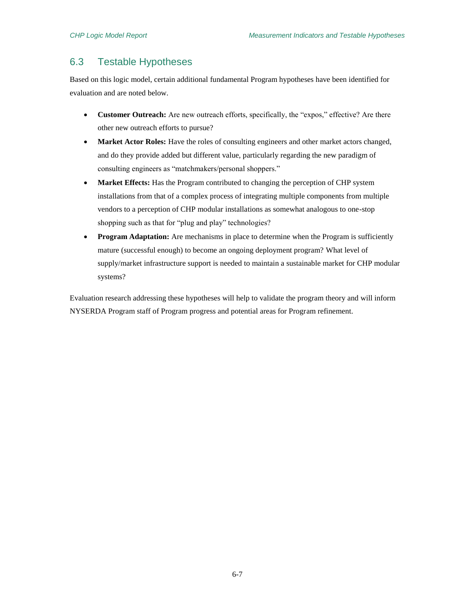## 6.3 Testable Hypotheses

Based on this logic model, certain additional fundamental Program hypotheses have been identified for evaluation and are noted below.

- **Customer Outreach:** Are new outreach efforts, specifically, the "expos," effective? Are there other new outreach efforts to pursue?
- Market Actor Roles: Have the roles of consulting engineers and other market actors changed, and do they provide added but different value, particularly regarding the new paradigm of consulting engineers as "matchmakers/personal shoppers."
- Market Effects: Has the Program contributed to changing the perception of CHP system installations from that of a complex process of integrating multiple components from multiple vendors to a perception of CHP modular installations as somewhat analogous to one-stop shopping such as that for "plug and play" technologies?
- **Program Adaptation:** Are mechanisms in place to determine when the Program is sufficiently mature (successful enough) to become an ongoing deployment program? What level of supply/market infrastructure support is needed to maintain a sustainable market for CHP modular systems?

Evaluation research addressing these hypotheses will help to validate the program theory and will inform NYSERDA Program staff of Program progress and potential areas for Program refinement.